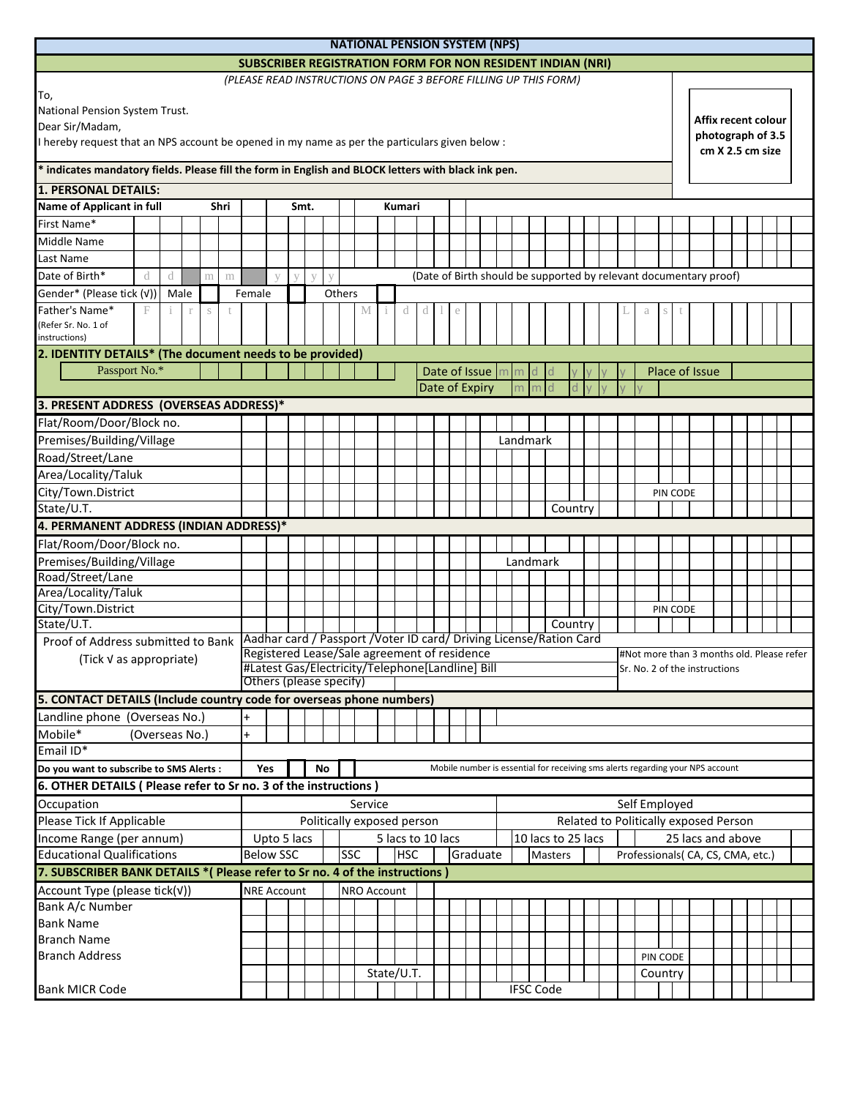| <b>NATIONAL PENSION SYSTEM (NPS)</b>                                                                   |                                        |                                                                                                                                   |      |    |  |        |                            |  |            |                |  |  |                                                       |                     |                   |                  |          |                                                                                |  |  |                                       |  |                |                                           |  |  |  |  |  |  |  |  |  |
|--------------------------------------------------------------------------------------------------------|----------------------------------------|-----------------------------------------------------------------------------------------------------------------------------------|------|----|--|--------|----------------------------|--|------------|----------------|--|--|-------------------------------------------------------|---------------------|-------------------|------------------|----------|--------------------------------------------------------------------------------|--|--|---------------------------------------|--|----------------|-------------------------------------------|--|--|--|--|--|--|--|--|--|
| <b>SUBSCRIBER REGISTRATION FORM FOR NON RESIDENT INDIAN (NRI)</b>                                      |                                        |                                                                                                                                   |      |    |  |        |                            |  |            |                |  |  |                                                       |                     |                   |                  |          |                                                                                |  |  |                                       |  |                |                                           |  |  |  |  |  |  |  |  |  |
| (PLEASE READ INSTRUCTIONS ON PAGE 3 BEFORE FILLING UP THIS FORM)                                       |                                        |                                                                                                                                   |      |    |  |        |                            |  |            |                |  |  |                                                       |                     |                   |                  |          |                                                                                |  |  |                                       |  |                |                                           |  |  |  |  |  |  |  |  |  |
| To,                                                                                                    |                                        |                                                                                                                                   |      |    |  |        |                            |  |            |                |  |  |                                                       |                     |                   |                  |          |                                                                                |  |  |                                       |  |                |                                           |  |  |  |  |  |  |  |  |  |
| National Pension System Trust.                                                                         |                                        |                                                                                                                                   |      |    |  |        |                            |  |            |                |  |  |                                                       | Affix recent colour |                   |                  |          |                                                                                |  |  |                                       |  |                |                                           |  |  |  |  |  |  |  |  |  |
| Dear Sir/Madam,                                                                                        |                                        |                                                                                                                                   |      |    |  |        |                            |  |            |                |  |  |                                                       |                     | photograph of 3.5 |                  |          |                                                                                |  |  |                                       |  |                |                                           |  |  |  |  |  |  |  |  |  |
| I hereby request that an NPS account be opened in my name as per the particulars given below :         |                                        |                                                                                                                                   |      |    |  |        |                            |  |            |                |  |  |                                                       |                     |                   | cm X 2.5 cm size |          |                                                                                |  |  |                                       |  |                |                                           |  |  |  |  |  |  |  |  |  |
| * indicates mandatory fields. Please fill the form in English and BLOCK letters with black ink pen.    |                                        |                                                                                                                                   |      |    |  |        |                            |  |            |                |  |  |                                                       |                     |                   |                  |          |                                                                                |  |  |                                       |  |                |                                           |  |  |  |  |  |  |  |  |  |
| <b>1. PERSONAL DETAILS:</b>                                                                            |                                        |                                                                                                                                   |      |    |  |        |                            |  |            |                |  |  |                                                       |                     |                   |                  |          |                                                                                |  |  |                                       |  |                |                                           |  |  |  |  |  |  |  |  |  |
| <b>Name of Applicant in full</b><br>Shri                                                               |                                        |                                                                                                                                   | Smt. |    |  |        |                            |  | Kumari     |                |  |  |                                                       |                     |                   |                  |          |                                                                                |  |  |                                       |  |                |                                           |  |  |  |  |  |  |  |  |  |
| First Name*                                                                                            |                                        |                                                                                                                                   |      |    |  |        |                            |  |            |                |  |  |                                                       |                     |                   |                  |          |                                                                                |  |  |                                       |  |                |                                           |  |  |  |  |  |  |  |  |  |
| Middle Name                                                                                            |                                        |                                                                                                                                   |      |    |  |        |                            |  |            |                |  |  |                                                       |                     |                   |                  |          |                                                                                |  |  |                                       |  |                |                                           |  |  |  |  |  |  |  |  |  |
| Last Name                                                                                              |                                        |                                                                                                                                   |      |    |  |        |                            |  |            |                |  |  |                                                       |                     |                   |                  |          |                                                                                |  |  |                                       |  |                |                                           |  |  |  |  |  |  |  |  |  |
| Date of Birth*<br>d<br>d<br>m<br>m                                                                     |                                        |                                                                                                                                   |      | V  |  |        |                            |  |            |                |  |  |                                                       |                     |                   |                  |          | (Date of Birth should be supported by relevant documentary proof)              |  |  |                                       |  |                |                                           |  |  |  |  |  |  |  |  |  |
| Gender* (Please tick (v))<br>Male                                                                      | Female                                 |                                                                                                                                   |      |    |  | Others |                            |  |            |                |  |  |                                                       |                     |                   |                  |          |                                                                                |  |  |                                       |  |                |                                           |  |  |  |  |  |  |  |  |  |
| Father's Name*<br>F<br>$\mathbb{T}$<br>$\mathbf{1}$<br>S                                               |                                        |                                                                                                                                   |      |    |  |        |                            |  |            |                |  |  |                                                       |                     |                   |                  |          |                                                                                |  |  |                                       |  |                |                                           |  |  |  |  |  |  |  |  |  |
| Refer Sr. No. 1 of                                                                                     |                                        |                                                                                                                                   |      |    |  |        |                            |  |            |                |  |  |                                                       |                     |                   |                  |          |                                                                                |  |  |                                       |  |                |                                           |  |  |  |  |  |  |  |  |  |
| instructions)                                                                                          |                                        |                                                                                                                                   |      |    |  |        |                            |  |            |                |  |  |                                                       |                     |                   |                  |          |                                                                                |  |  |                                       |  |                |                                           |  |  |  |  |  |  |  |  |  |
| 2. IDENTITY DETAILS* (The document needs to be provided)                                               |                                        |                                                                                                                                   |      |    |  |        |                            |  |            |                |  |  |                                                       |                     |                   |                  |          |                                                                                |  |  |                                       |  |                |                                           |  |  |  |  |  |  |  |  |  |
| Passport No.*                                                                                          |                                        |                                                                                                                                   |      |    |  |        |                            |  |            |                |  |  |                                                       | Date of Issue  m m  |                   |                  |          |                                                                                |  |  |                                       |  | Place of Issue |                                           |  |  |  |  |  |  |  |  |  |
|                                                                                                        |                                        |                                                                                                                                   |      |    |  |        |                            |  |            | Date of Expiry |  |  |                                                       |                     |                   | m                |          |                                                                                |  |  |                                       |  |                |                                           |  |  |  |  |  |  |  |  |  |
| 3. PRESENT ADDRESS (OVERSEAS ADDRESS)*                                                                 |                                        |                                                                                                                                   |      |    |  |        |                            |  |            |                |  |  |                                                       |                     |                   |                  |          |                                                                                |  |  |                                       |  |                |                                           |  |  |  |  |  |  |  |  |  |
| Flat/Room/Door/Block no.                                                                               |                                        |                                                                                                                                   |      |    |  |        |                            |  |            |                |  |  |                                                       |                     |                   |                  |          |                                                                                |  |  |                                       |  |                |                                           |  |  |  |  |  |  |  |  |  |
| Premises/Building/Village                                                                              |                                        |                                                                                                                                   |      |    |  |        |                            |  |            |                |  |  |                                                       |                     |                   |                  | Landmark |                                                                                |  |  |                                       |  |                |                                           |  |  |  |  |  |  |  |  |  |
| Road/Street/Lane                                                                                       |                                        |                                                                                                                                   |      |    |  |        |                            |  |            |                |  |  |                                                       |                     |                   |                  |          |                                                                                |  |  |                                       |  |                |                                           |  |  |  |  |  |  |  |  |  |
| Area/Locality/Taluk                                                                                    |                                        |                                                                                                                                   |      |    |  |        |                            |  |            |                |  |  |                                                       |                     |                   |                  |          |                                                                                |  |  |                                       |  |                |                                           |  |  |  |  |  |  |  |  |  |
| City/Town.District                                                                                     |                                        |                                                                                                                                   |      |    |  |        |                            |  |            |                |  |  |                                                       |                     |                   |                  |          |                                                                                |  |  |                                       |  | PIN CODE       |                                           |  |  |  |  |  |  |  |  |  |
| State/U.T.                                                                                             |                                        |                                                                                                                                   |      |    |  |        |                            |  |            |                |  |  |                                                       |                     |                   |                  |          | Country                                                                        |  |  |                                       |  |                |                                           |  |  |  |  |  |  |  |  |  |
|                                                                                                        | 4. PERMANENT ADDRESS (INDIAN ADDRESS)* |                                                                                                                                   |      |    |  |        |                            |  |            |                |  |  |                                                       |                     |                   |                  |          |                                                                                |  |  |                                       |  |                |                                           |  |  |  |  |  |  |  |  |  |
| Flat/Room/Door/Block no.                                                                               |                                        |                                                                                                                                   |      |    |  |        |                            |  |            |                |  |  |                                                       |                     |                   |                  |          |                                                                                |  |  |                                       |  |                |                                           |  |  |  |  |  |  |  |  |  |
| Premises/Building/Village                                                                              |                                        |                                                                                                                                   |      |    |  |        |                            |  |            |                |  |  |                                                       |                     |                   |                  | Landmark |                                                                                |  |  |                                       |  |                |                                           |  |  |  |  |  |  |  |  |  |
| Road/Street/Lane                                                                                       |                                        |                                                                                                                                   |      |    |  |        |                            |  |            |                |  |  |                                                       |                     |                   |                  |          |                                                                                |  |  |                                       |  |                |                                           |  |  |  |  |  |  |  |  |  |
| Area/Locality/Taluk                                                                                    |                                        |                                                                                                                                   |      |    |  |        |                            |  |            |                |  |  |                                                       |                     |                   |                  |          |                                                                                |  |  |                                       |  |                |                                           |  |  |  |  |  |  |  |  |  |
| City/Town.District                                                                                     |                                        |                                                                                                                                   |      |    |  |        |                            |  |            |                |  |  |                                                       |                     |                   |                  |          |                                                                                |  |  |                                       |  | PIN CODE       |                                           |  |  |  |  |  |  |  |  |  |
| State/U.T.                                                                                             |                                        |                                                                                                                                   |      |    |  |        |                            |  |            |                |  |  |                                                       |                     |                   |                  |          | Country                                                                        |  |  |                                       |  |                |                                           |  |  |  |  |  |  |  |  |  |
| Proof of Address submitted to Bank Aadhar card / Passport / Voter ID card/ Driving License/Ration Card |                                        |                                                                                                                                   |      |    |  |        |                            |  |            |                |  |  |                                                       |                     |                   |                  |          |                                                                                |  |  |                                       |  |                | #Not more than 3 months old. Please refer |  |  |  |  |  |  |  |  |  |
| (Tick √ as appropriate)                                                                                |                                        | Registered Lease/Sale agreement of residence<br>#Latest Gas/Electricity/Telephone[Landline] Bill<br>Sr. No. 2 of the instructions |      |    |  |        |                            |  |            |                |  |  |                                                       |                     |                   |                  |          |                                                                                |  |  |                                       |  |                |                                           |  |  |  |  |  |  |  |  |  |
|                                                                                                        | Others (please specify)                |                                                                                                                                   |      |    |  |        |                            |  |            |                |  |  |                                                       |                     |                   |                  |          |                                                                                |  |  |                                       |  |                |                                           |  |  |  |  |  |  |  |  |  |
| 5. CONTACT DETAILS (Include country code for overseas phone numbers)                                   |                                        |                                                                                                                                   |      |    |  |        |                            |  |            |                |  |  |                                                       |                     |                   |                  |          |                                                                                |  |  |                                       |  |                |                                           |  |  |  |  |  |  |  |  |  |
| Landline phone (Overseas No.)                                                                          |                                        |                                                                                                                                   |      |    |  |        |                            |  |            |                |  |  |                                                       |                     |                   |                  |          |                                                                                |  |  |                                       |  |                |                                           |  |  |  |  |  |  |  |  |  |
| Mobile*<br>(Overseas No.)                                                                              | $\ddot{}$                              |                                                                                                                                   |      |    |  |        |                            |  |            |                |  |  |                                                       |                     |                   |                  |          |                                                                                |  |  |                                       |  |                |                                           |  |  |  |  |  |  |  |  |  |
| Email ID*                                                                                              |                                        |                                                                                                                                   |      |    |  |        |                            |  |            |                |  |  |                                                       |                     |                   |                  |          |                                                                                |  |  |                                       |  |                |                                           |  |  |  |  |  |  |  |  |  |
| Do you want to subscribe to SMS Alerts :                                                               |                                        | Yes                                                                                                                               |      | No |  |        |                            |  |            |                |  |  |                                                       |                     |                   |                  |          | Mobile number is essential for receiving sms alerts regarding your NPS account |  |  |                                       |  |                |                                           |  |  |  |  |  |  |  |  |  |
| 6. OTHER DETAILS ( Please refer to Sr no. 3 of the instructions )                                      |                                        |                                                                                                                                   |      |    |  |        |                            |  |            |                |  |  |                                                       |                     |                   |                  |          |                                                                                |  |  |                                       |  |                |                                           |  |  |  |  |  |  |  |  |  |
| Occupation                                                                                             |                                        |                                                                                                                                   |      |    |  |        | Service                    |  |            |                |  |  |                                                       |                     |                   |                  |          |                                                                                |  |  |                                       |  | Self Employed  |                                           |  |  |  |  |  |  |  |  |  |
| Please Tick If Applicable                                                                              |                                        |                                                                                                                                   |      |    |  |        | Politically exposed person |  |            |                |  |  |                                                       |                     |                   |                  |          |                                                                                |  |  | Related to Politically exposed Person |  |                |                                           |  |  |  |  |  |  |  |  |  |
| Income Range (per annum)                                                                               |                                        |                                                                                                                                   |      |    |  |        |                            |  |            |                |  |  |                                                       |                     |                   |                  |          |                                                                                |  |  |                                       |  |                |                                           |  |  |  |  |  |  |  |  |  |
| <b>Educational Qualifications</b>                                                                      |                                        | Upto 5 lacs<br>5 lacs to 10 lacs<br>10 lacs to 25 lacs<br><b>Below SSC</b><br>SSC<br><b>HSC</b><br>Graduate<br>Masters            |      |    |  |        |                            |  |            |                |  |  | 25 lacs and above<br>Professionals(CA, CS, CMA, etc.) |                     |                   |                  |          |                                                                                |  |  |                                       |  |                |                                           |  |  |  |  |  |  |  |  |  |
| 7. SUBSCRIBER BANK DETAILS * ( Please refer to Sr no. 4 of the instructions )                          |                                        |                                                                                                                                   |      |    |  |        |                            |  |            |                |  |  |                                                       |                     |                   |                  |          |                                                                                |  |  |                                       |  |                |                                           |  |  |  |  |  |  |  |  |  |
| Account Type (please tick(v))                                                                          |                                        | <b>NRE Account</b><br>NRO Account                                                                                                 |      |    |  |        |                            |  |            |                |  |  |                                                       |                     |                   |                  |          |                                                                                |  |  |                                       |  |                |                                           |  |  |  |  |  |  |  |  |  |
| Bank A/c Number                                                                                        |                                        |                                                                                                                                   |      |    |  |        |                            |  |            |                |  |  |                                                       |                     |                   |                  |          |                                                                                |  |  |                                       |  |                |                                           |  |  |  |  |  |  |  |  |  |
| <b>Bank Name</b>                                                                                       |                                        |                                                                                                                                   |      |    |  |        |                            |  |            |                |  |  |                                                       |                     |                   |                  |          |                                                                                |  |  |                                       |  |                |                                           |  |  |  |  |  |  |  |  |  |
| <b>Branch Name</b>                                                                                     |                                        |                                                                                                                                   |      |    |  |        |                            |  |            |                |  |  |                                                       |                     |                   |                  |          |                                                                                |  |  |                                       |  |                |                                           |  |  |  |  |  |  |  |  |  |
| <b>Branch Address</b>                                                                                  |                                        |                                                                                                                                   |      |    |  |        |                            |  |            |                |  |  |                                                       |                     |                   |                  |          |                                                                                |  |  |                                       |  | PIN CODE       |                                           |  |  |  |  |  |  |  |  |  |
|                                                                                                        |                                        |                                                                                                                                   |      |    |  |        |                            |  | State/U.T. |                |  |  |                                                       |                     |                   |                  |          |                                                                                |  |  |                                       |  | Country        |                                           |  |  |  |  |  |  |  |  |  |
| <b>Bank MICR Code</b>                                                                                  |                                        |                                                                                                                                   |      |    |  |        |                            |  |            |                |  |  |                                                       |                     |                   |                  |          | <b>IFSC Code</b>                                                               |  |  |                                       |  |                |                                           |  |  |  |  |  |  |  |  |  |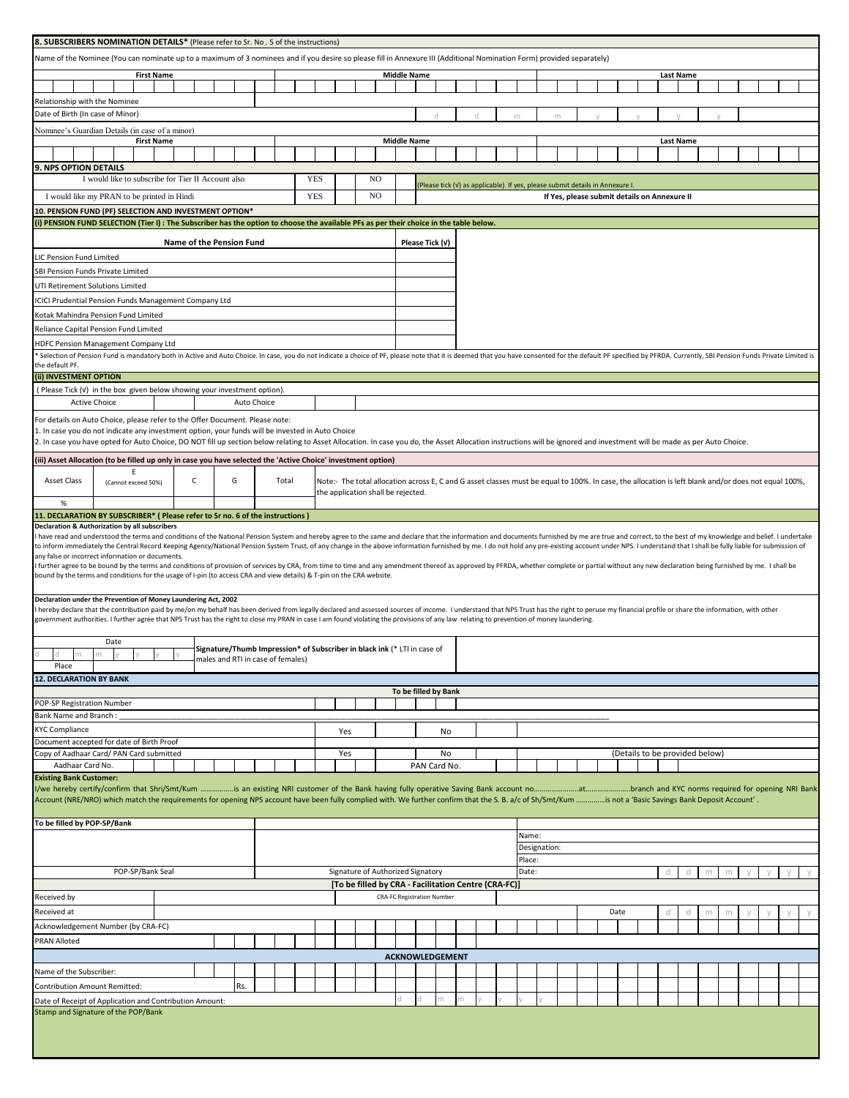| <b>8. SUBSCRIBERS NOMINATION DETAILS*</b> (Please refer to Sr. No . 5 of the instructions)                                                                                                                                                                                                                                                              |                                                                                                                                                                                                                                |                   |                          |   |             |  |                                                                                                               |            |     |    |                                    |                    |   |                                                                                                                                                      |   |        |              |   |  |      |                                |                  |        |  |  |  |
|---------------------------------------------------------------------------------------------------------------------------------------------------------------------------------------------------------------------------------------------------------------------------------------------------------------------------------------------------------|--------------------------------------------------------------------------------------------------------------------------------------------------------------------------------------------------------------------------------|-------------------|--------------------------|---|-------------|--|---------------------------------------------------------------------------------------------------------------|------------|-----|----|------------------------------------|--------------------|---|------------------------------------------------------------------------------------------------------------------------------------------------------|---|--------|--------------|---|--|------|--------------------------------|------------------|--------|--|--|--|
| Name of the Nominee (You can nominate up to a maximum of 3 nominees and if you desire so please fill in Annexure III (Additional Nomination Form) provided separately)                                                                                                                                                                                  |                                                                                                                                                                                                                                |                   |                          |   |             |  |                                                                                                               |            |     |    |                                    |                    |   |                                                                                                                                                      |   |        |              |   |  |      |                                |                  |        |  |  |  |
|                                                                                                                                                                                                                                                                                                                                                         |                                                                                                                                                                                                                                | <b>First Name</b> |                          |   |             |  |                                                                                                               |            |     |    |                                    | <b>Middle Name</b> |   |                                                                                                                                                      |   |        |              |   |  |      |                                | <b>Last Name</b> |        |  |  |  |
|                                                                                                                                                                                                                                                                                                                                                         |                                                                                                                                                                                                                                |                   |                          |   |             |  |                                                                                                               |            |     |    |                                    |                    |   |                                                                                                                                                      |   |        |              |   |  |      |                                |                  |        |  |  |  |
| Relationship with the Nominee                                                                                                                                                                                                                                                                                                                           |                                                                                                                                                                                                                                |                   |                          |   |             |  |                                                                                                               |            |     |    |                                    |                    |   |                                                                                                                                                      |   |        |              |   |  |      |                                |                  |        |  |  |  |
| Date of Birth (In case of Minor)                                                                                                                                                                                                                                                                                                                        |                                                                                                                                                                                                                                |                   |                          |   |             |  |                                                                                                               |            |     |    |                                    |                    | d |                                                                                                                                                      | d | m      |              | m |  |      |                                |                  |        |  |  |  |
| Nominee's Guardian Details (in case of a minor)                                                                                                                                                                                                                                                                                                         |                                                                                                                                                                                                                                |                   |                          |   |             |  |                                                                                                               |            |     |    |                                    |                    |   |                                                                                                                                                      |   |        |              |   |  |      |                                |                  |        |  |  |  |
|                                                                                                                                                                                                                                                                                                                                                         |                                                                                                                                                                                                                                | <b>First Name</b> |                          |   |             |  |                                                                                                               |            |     |    |                                    | <b>Middle Name</b> |   |                                                                                                                                                      |   |        |              |   |  |      |                                | <b>Last Name</b> |        |  |  |  |
|                                                                                                                                                                                                                                                                                                                                                         |                                                                                                                                                                                                                                |                   |                          |   |             |  |                                                                                                               |            |     |    |                                    |                    |   |                                                                                                                                                      |   |        |              |   |  |      |                                |                  |        |  |  |  |
| 9. NPS OPTION DETAILS                                                                                                                                                                                                                                                                                                                                   |                                                                                                                                                                                                                                |                   |                          |   |             |  |                                                                                                               |            |     |    |                                    |                    |   |                                                                                                                                                      |   |        |              |   |  |      |                                |                  |        |  |  |  |
|                                                                                                                                                                                                                                                                                                                                                         | I would like to subscribe for Tier II Account also                                                                                                                                                                             |                   |                          |   |             |  |                                                                                                               | <b>YES</b> |     | NO |                                    |                    |   |                                                                                                                                                      |   |        |              |   |  |      |                                |                  |        |  |  |  |
|                                                                                                                                                                                                                                                                                                                                                         | (Please tick (V) as applicable). If yes, please submit details in Annexure I.<br>NO<br><b>YES</b><br>I would like my PRAN to be printed in Hindi<br>If Yes, please submit details on Annexure II                               |                   |                          |   |             |  |                                                                                                               |            |     |    |                                    |                    |   |                                                                                                                                                      |   |        |              |   |  |      |                                |                  |        |  |  |  |
| 10. PENSION FUND (PF) SELECTION AND INVESTMENT OPTION*                                                                                                                                                                                                                                                                                                  |                                                                                                                                                                                                                                |                   |                          |   |             |  |                                                                                                               |            |     |    |                                    |                    |   |                                                                                                                                                      |   |        |              |   |  |      |                                |                  |        |  |  |  |
| i) PENSION FUND SELECTION (Tier I): The Subscriber has the option to choose the available PFs as per their choice in the table below.                                                                                                                                                                                                                   |                                                                                                                                                                                                                                |                   |                          |   |             |  |                                                                                                               |            |     |    |                                    |                    |   |                                                                                                                                                      |   |        |              |   |  |      |                                |                  |        |  |  |  |
|                                                                                                                                                                                                                                                                                                                                                         |                                                                                                                                                                                                                                |                   |                          |   |             |  |                                                                                                               |            |     |    |                                    |                    |   |                                                                                                                                                      |   |        |              |   |  |      |                                |                  |        |  |  |  |
|                                                                                                                                                                                                                                                                                                                                                         |                                                                                                                                                                                                                                |                   | Name of the Pension Fund |   |             |  |                                                                                                               |            |     |    |                                    | Please Tick (v)    |   |                                                                                                                                                      |   |        |              |   |  |      |                                |                  |        |  |  |  |
| <b>IC Pension Fund Limited</b>                                                                                                                                                                                                                                                                                                                          |                                                                                                                                                                                                                                |                   |                          |   |             |  |                                                                                                               |            |     |    |                                    |                    |   |                                                                                                                                                      |   |        |              |   |  |      |                                |                  |        |  |  |  |
| SBI Pension Funds Private Limited                                                                                                                                                                                                                                                                                                                       |                                                                                                                                                                                                                                |                   |                          |   |             |  |                                                                                                               |            |     |    |                                    |                    |   |                                                                                                                                                      |   |        |              |   |  |      |                                |                  |        |  |  |  |
|                                                                                                                                                                                                                                                                                                                                                         | JTI Retirement Solutions Limited                                                                                                                                                                                               |                   |                          |   |             |  |                                                                                                               |            |     |    |                                    |                    |   |                                                                                                                                                      |   |        |              |   |  |      |                                |                  |        |  |  |  |
|                                                                                                                                                                                                                                                                                                                                                         | <b>CICI Prudential Pension Funds Management Company Ltd</b>                                                                                                                                                                    |                   |                          |   |             |  |                                                                                                               |            |     |    |                                    |                    |   |                                                                                                                                                      |   |        |              |   |  |      |                                |                  |        |  |  |  |
|                                                                                                                                                                                                                                                                                                                                                         | Kotak Mahindra Pension Fund Limited                                                                                                                                                                                            |                   |                          |   |             |  |                                                                                                               |            |     |    |                                    |                    |   |                                                                                                                                                      |   |        |              |   |  |      |                                |                  |        |  |  |  |
|                                                                                                                                                                                                                                                                                                                                                         | Reliance Capital Pension Fund Limited                                                                                                                                                                                          |                   |                          |   |             |  |                                                                                                               |            |     |    |                                    |                    |   |                                                                                                                                                      |   |        |              |   |  |      |                                |                  |        |  |  |  |
|                                                                                                                                                                                                                                                                                                                                                         | HDFC Pension Management Company Ltd                                                                                                                                                                                            |                   |                          |   |             |  |                                                                                                               |            |     |    |                                    |                    |   |                                                                                                                                                      |   |        |              |   |  |      |                                |                  |        |  |  |  |
|                                                                                                                                                                                                                                                                                                                                                         | Selection of Pension Fund is mandatory both in Active and Auto Choice. In case, you do not indicate a choice of PF, please note that it is deemed that you have consented for the default PF specified by PFRDA. Currently, SB |                   |                          |   |             |  |                                                                                                               |            |     |    |                                    |                    |   |                                                                                                                                                      |   |        |              |   |  |      |                                |                  |        |  |  |  |
| the default PF.                                                                                                                                                                                                                                                                                                                                         |                                                                                                                                                                                                                                |                   |                          |   |             |  |                                                                                                               |            |     |    |                                    |                    |   |                                                                                                                                                      |   |        |              |   |  |      |                                |                  |        |  |  |  |
| (ii) INVESTMENT OPTION                                                                                                                                                                                                                                                                                                                                  |                                                                                                                                                                                                                                |                   |                          |   |             |  |                                                                                                               |            |     |    |                                    |                    |   |                                                                                                                                                      |   |        |              |   |  |      |                                |                  |        |  |  |  |
| (Please Tick (v) in the box given below showing your investment option).                                                                                                                                                                                                                                                                                | <b>Active Choice</b>                                                                                                                                                                                                           |                   |                          |   | Auto Choice |  |                                                                                                               |            |     |    |                                    |                    |   |                                                                                                                                                      |   |        |              |   |  |      |                                |                  |        |  |  |  |
|                                                                                                                                                                                                                                                                                                                                                         |                                                                                                                                                                                                                                |                   |                          |   |             |  |                                                                                                               |            |     |    |                                    |                    |   |                                                                                                                                                      |   |        |              |   |  |      |                                |                  |        |  |  |  |
| For details on Auto Choice, please refer to the Offer Document. Please note:                                                                                                                                                                                                                                                                            |                                                                                                                                                                                                                                |                   |                          |   |             |  |                                                                                                               |            |     |    |                                    |                    |   |                                                                                                                                                      |   |        |              |   |  |      |                                |                  |        |  |  |  |
| 1. In case you do not indicate any investment option, your funds will be invested in Auto Choice                                                                                                                                                                                                                                                        |                                                                                                                                                                                                                                |                   |                          |   |             |  |                                                                                                               |            |     |    |                                    |                    |   |                                                                                                                                                      |   |        |              |   |  |      |                                |                  |        |  |  |  |
|                                                                                                                                                                                                                                                                                                                                                         | 2. In case you have opted for Auto Choice, DO NOT fill up section below relating to Asset Allocation. In case you do, the Asset Allocation instructions will be ignored and investment will be made as per Auto Choice.        |                   |                          |   |             |  |                                                                                                               |            |     |    |                                    |                    |   |                                                                                                                                                      |   |        |              |   |  |      |                                |                  |        |  |  |  |
| iii) Asset Allocation (to be filled up only in case you have selected the 'Active Choice' investment option)                                                                                                                                                                                                                                            |                                                                                                                                                                                                                                |                   |                          |   |             |  |                                                                                                               |            |     |    |                                    |                    |   |                                                                                                                                                      |   |        |              |   |  |      |                                |                  |        |  |  |  |
| Asset Class                                                                                                                                                                                                                                                                                                                                             | (Cannot exceed 50%)                                                                                                                                                                                                            | E.                | C                        | G |             |  | Total                                                                                                         |            |     |    |                                    |                    |   | Note:- The total allocation across E, C and G asset classes must be equal to 100%. In case, the allocation is left blank and/or does not equal 100%, |   |        |              |   |  |      |                                |                  |        |  |  |  |
|                                                                                                                                                                                                                                                                                                                                                         |                                                                                                                                                                                                                                |                   |                          |   |             |  |                                                                                                               |            |     |    | the application shall be rejected. |                    |   |                                                                                                                                                      |   |        |              |   |  |      |                                |                  |        |  |  |  |
| %                                                                                                                                                                                                                                                                                                                                                       |                                                                                                                                                                                                                                |                   |                          |   |             |  |                                                                                                               |            |     |    |                                    |                    |   |                                                                                                                                                      |   |        |              |   |  |      |                                |                  |        |  |  |  |
| 11. DECLARATION BY SUBSCRIBER* ( Please refer to Sr no. 6 of the instructions )                                                                                                                                                                                                                                                                         |                                                                                                                                                                                                                                |                   |                          |   |             |  |                                                                                                               |            |     |    |                                    |                    |   |                                                                                                                                                      |   |        |              |   |  |      |                                |                  |        |  |  |  |
| Declaration & Authorization by all subscribers<br>have read and understood the terms and conditions of the National Pension System and hereby agree to the same and declare that the information and documents furnished by me are true and correct, to the best of my knowledge                                                                        |                                                                                                                                                                                                                                |                   |                          |   |             |  |                                                                                                               |            |     |    |                                    |                    |   |                                                                                                                                                      |   |        |              |   |  |      |                                |                  |        |  |  |  |
| o inform immediately the Central Record Keeping Agency/National Pension System Trust, of any change in the above information furnished by me. I do not hold any pre-existing account under NPS. I understand that I shall be f                                                                                                                          |                                                                                                                                                                                                                                |                   |                          |   |             |  |                                                                                                               |            |     |    |                                    |                    |   |                                                                                                                                                      |   |        |              |   |  |      |                                |                  |        |  |  |  |
| any false or incorrect information or documents.                                                                                                                                                                                                                                                                                                        |                                                                                                                                                                                                                                |                   |                          |   |             |  |                                                                                                               |            |     |    |                                    |                    |   |                                                                                                                                                      |   |        |              |   |  |      |                                |                  |        |  |  |  |
| further agree to be bound by the terms and conditions of provision of services by CRA, from time to time and any amendment thereof as approved by PFRDA, whether complete or partial without any new declaration being furnish<br>bound by the terms and conditions for the usage of I-pin (to access CRA and view details) & T-pin on the CRA website. |                                                                                                                                                                                                                                |                   |                          |   |             |  |                                                                                                               |            |     |    |                                    |                    |   |                                                                                                                                                      |   |        |              |   |  |      |                                |                  |        |  |  |  |
|                                                                                                                                                                                                                                                                                                                                                         |                                                                                                                                                                                                                                |                   |                          |   |             |  |                                                                                                               |            |     |    |                                    |                    |   |                                                                                                                                                      |   |        |              |   |  |      |                                |                  |        |  |  |  |
| Declaration under the Prevention of Money Laundering Act, 2002                                                                                                                                                                                                                                                                                          |                                                                                                                                                                                                                                |                   |                          |   |             |  |                                                                                                               |            |     |    |                                    |                    |   |                                                                                                                                                      |   |        |              |   |  |      |                                |                  |        |  |  |  |
| hereby declare that the contribution paid by me/on my behalf has been derived from legally declared and assessed sources of income. I understand that NPS Trust has the right to peruse my financial profile or share the info                                                                                                                          |                                                                                                                                                                                                                                |                   |                          |   |             |  |                                                                                                               |            |     |    |                                    |                    |   |                                                                                                                                                      |   |        |              |   |  |      |                                |                  |        |  |  |  |
| government authorities. I further agree that NPS Trust has the right to close my PRAN in case I am found violating the provisions of any law relating to prevention of money laundering.                                                                                                                                                                |                                                                                                                                                                                                                                |                   |                          |   |             |  |                                                                                                               |            |     |    |                                    |                    |   |                                                                                                                                                      |   |        |              |   |  |      |                                |                  |        |  |  |  |
|                                                                                                                                                                                                                                                                                                                                                         | Date                                                                                                                                                                                                                           |                   |                          |   |             |  |                                                                                                               |            |     |    |                                    |                    |   |                                                                                                                                                      |   |        |              |   |  |      |                                |                  |        |  |  |  |
| m                                                                                                                                                                                                                                                                                                                                                       | m                                                                                                                                                                                                                              |                   |                          |   |             |  | Signature/Thumb Impression* of Subscriber in black ink (* LTI in case of<br>males and RTI in case of females) |            |     |    |                                    |                    |   |                                                                                                                                                      |   |        |              |   |  |      |                                |                  |        |  |  |  |
| Place                                                                                                                                                                                                                                                                                                                                                   |                                                                                                                                                                                                                                |                   |                          |   |             |  |                                                                                                               |            |     |    |                                    |                    |   |                                                                                                                                                      |   |        |              |   |  |      |                                |                  |        |  |  |  |
| <b>12. DECLARATION BY BANK</b>                                                                                                                                                                                                                                                                                                                          |                                                                                                                                                                                                                                |                   |                          |   |             |  |                                                                                                               |            |     |    |                                    |                    |   |                                                                                                                                                      |   |        |              |   |  |      |                                |                  |        |  |  |  |
|                                                                                                                                                                                                                                                                                                                                                         |                                                                                                                                                                                                                                |                   |                          |   |             |  |                                                                                                               |            |     |    |                                    |                    |   | To be filled by Bank                                                                                                                                 |   |        |              |   |  |      |                                |                  |        |  |  |  |
| POP-SP Registration Number                                                                                                                                                                                                                                                                                                                              |                                                                                                                                                                                                                                |                   |                          |   |             |  |                                                                                                               |            |     |    |                                    |                    |   |                                                                                                                                                      |   |        |              |   |  |      |                                |                  |        |  |  |  |
| <b>Bank Name and Branch:</b>                                                                                                                                                                                                                                                                                                                            |                                                                                                                                                                                                                                |                   |                          |   |             |  |                                                                                                               |            |     |    |                                    |                    |   |                                                                                                                                                      |   |        |              |   |  |      |                                |                  |        |  |  |  |
| <b>KYC Compliance</b>                                                                                                                                                                                                                                                                                                                                   |                                                                                                                                                                                                                                |                   |                          |   |             |  |                                                                                                               |            | Yes |    |                                    |                    |   | No                                                                                                                                                   |   |        |              |   |  |      |                                |                  |        |  |  |  |
| Document accepted for date of Birth Proof<br>Copy of Aadhaar Card/ PAN Card submitted                                                                                                                                                                                                                                                                   |                                                                                                                                                                                                                                |                   |                          |   |             |  |                                                                                                               |            | Yes |    |                                    |                    |   | No                                                                                                                                                   |   |        |              |   |  |      | (Details to be provided below) |                  |        |  |  |  |
| Aadhaar Card No.                                                                                                                                                                                                                                                                                                                                        |                                                                                                                                                                                                                                |                   |                          |   |             |  |                                                                                                               |            |     |    |                                    |                    |   | PAN Card No.                                                                                                                                         |   |        |              |   |  |      |                                |                  |        |  |  |  |
| <b>Existing Bank Customer:</b>                                                                                                                                                                                                                                                                                                                          |                                                                                                                                                                                                                                |                   |                          |   |             |  |                                                                                                               |            |     |    |                                    |                    |   |                                                                                                                                                      |   |        |              |   |  |      |                                |                  |        |  |  |  |
|                                                                                                                                                                                                                                                                                                                                                         |                                                                                                                                                                                                                                |                   |                          |   |             |  |                                                                                                               |            |     |    |                                    |                    |   |                                                                                                                                                      |   |        |              |   |  |      |                                |                  |        |  |  |  |
| Account (NRE/NRO) which match the requirements for opening NPS account have been fully complied with. We further confirm that the S. B. a/c of Sh/Smt/Kum is not a 'Basic Savings Bank Deposit Account'.                                                                                                                                                |                                                                                                                                                                                                                                |                   |                          |   |             |  |                                                                                                               |            |     |    |                                    |                    |   |                                                                                                                                                      |   |        |              |   |  |      |                                |                  |        |  |  |  |
|                                                                                                                                                                                                                                                                                                                                                         |                                                                                                                                                                                                                                |                   |                          |   |             |  |                                                                                                               |            |     |    |                                    |                    |   |                                                                                                                                                      |   |        |              |   |  |      |                                |                  |        |  |  |  |
| To be filled by POP-SP/Bank                                                                                                                                                                                                                                                                                                                             |                                                                                                                                                                                                                                |                   |                          |   |             |  |                                                                                                               |            |     |    |                                    |                    |   |                                                                                                                                                      |   | Name:  |              |   |  |      |                                |                  |        |  |  |  |
|                                                                                                                                                                                                                                                                                                                                                         |                                                                                                                                                                                                                                |                   |                          |   |             |  |                                                                                                               |            |     |    |                                    |                    |   |                                                                                                                                                      |   |        | Designation: |   |  |      |                                |                  |        |  |  |  |
|                                                                                                                                                                                                                                                                                                                                                         |                                                                                                                                                                                                                                |                   |                          |   |             |  |                                                                                                               |            |     |    |                                    |                    |   |                                                                                                                                                      |   | Place: |              |   |  |      |                                |                  |        |  |  |  |
|                                                                                                                                                                                                                                                                                                                                                         |                                                                                                                                                                                                                                | POP-SP/Bank Seal  |                          |   |             |  |                                                                                                               |            |     |    | Signature of Authorized Signatory  |                    |   |                                                                                                                                                      |   | Date:  |              |   |  |      |                                | d<br>d           | m<br>m |  |  |  |
|                                                                                                                                                                                                                                                                                                                                                         |                                                                                                                                                                                                                                |                   |                          |   |             |  |                                                                                                               |            |     |    |                                    |                    |   | [To be filled by CRA - Facilitation Centre (CRA-FC)]                                                                                                 |   |        |              |   |  |      |                                |                  |        |  |  |  |
| Received by                                                                                                                                                                                                                                                                                                                                             |                                                                                                                                                                                                                                |                   |                          |   |             |  |                                                                                                               |            |     |    | <b>CRA-FC Registration Number</b>  |                    |   |                                                                                                                                                      |   |        |              |   |  |      |                                |                  |        |  |  |  |
| Received at                                                                                                                                                                                                                                                                                                                                             |                                                                                                                                                                                                                                |                   |                          |   |             |  |                                                                                                               |            |     |    |                                    |                    |   |                                                                                                                                                      |   |        |              |   |  | Date |                                | d<br>d           | m<br>m |  |  |  |
| Acknowledgement Number (by CRA-FC)                                                                                                                                                                                                                                                                                                                      |                                                                                                                                                                                                                                |                   |                          |   |             |  |                                                                                                               |            |     |    |                                    |                    |   |                                                                                                                                                      |   |        |              |   |  |      |                                |                  |        |  |  |  |
| <b>PRAN Alloted</b>                                                                                                                                                                                                                                                                                                                                     |                                                                                                                                                                                                                                |                   |                          |   |             |  |                                                                                                               |            |     |    |                                    |                    |   |                                                                                                                                                      |   |        |              |   |  |      |                                |                  |        |  |  |  |
|                                                                                                                                                                                                                                                                                                                                                         |                                                                                                                                                                                                                                |                   |                          |   |             |  |                                                                                                               |            |     |    |                                    |                    |   | <b>ACKNOWLEDGEMENT</b>                                                                                                                               |   |        |              |   |  |      |                                |                  |        |  |  |  |
|                                                                                                                                                                                                                                                                                                                                                         |                                                                                                                                                                                                                                |                   |                          |   |             |  |                                                                                                               |            |     |    |                                    |                    |   |                                                                                                                                                      |   |        |              |   |  |      |                                |                  |        |  |  |  |
| Name of the Subscriber:                                                                                                                                                                                                                                                                                                                                 |                                                                                                                                                                                                                                |                   |                          |   |             |  |                                                                                                               |            |     |    |                                    |                    |   |                                                                                                                                                      |   |        |              |   |  |      |                                |                  |        |  |  |  |
| <b>Contribution Amount Remitted:</b>                                                                                                                                                                                                                                                                                                                    |                                                                                                                                                                                                                                |                   |                          |   | Rs.         |  |                                                                                                               |            |     |    |                                    |                    |   |                                                                                                                                                      |   |        |              |   |  |      |                                |                  |        |  |  |  |
| Date of Receipt of Application and Contribution Amount:<br>Stamp and Signature of the POP/Bank                                                                                                                                                                                                                                                          |                                                                                                                                                                                                                                |                   |                          |   |             |  |                                                                                                               |            |     |    |                                    |                    |   | m<br>m                                                                                                                                               |   |        |              |   |  |      |                                |                  |        |  |  |  |
|                                                                                                                                                                                                                                                                                                                                                         |                                                                                                                                                                                                                                |                   |                          |   |             |  |                                                                                                               |            |     |    |                                    |                    |   |                                                                                                                                                      |   |        |              |   |  |      |                                |                  |        |  |  |  |
|                                                                                                                                                                                                                                                                                                                                                         |                                                                                                                                                                                                                                |                   |                          |   |             |  |                                                                                                               |            |     |    |                                    |                    |   |                                                                                                                                                      |   |        |              |   |  |      |                                |                  |        |  |  |  |
|                                                                                                                                                                                                                                                                                                                                                         |                                                                                                                                                                                                                                |                   |                          |   |             |  |                                                                                                               |            |     |    |                                    |                    |   |                                                                                                                                                      |   |        |              |   |  |      |                                |                  |        |  |  |  |